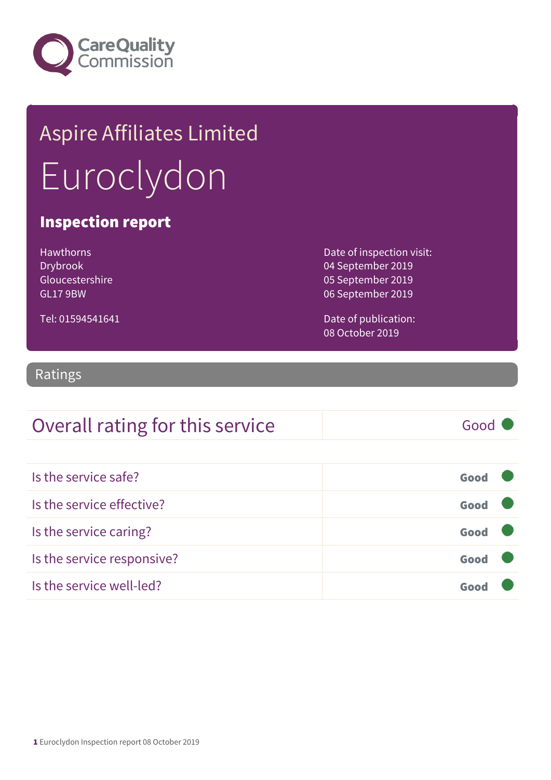

## Aspire Affiliates Limited Euroclydon

#### Inspection report

| <b>Hawthorns</b> |
|------------------|
| Drybrook         |
| Gloucestershire  |
| GL179BW          |

Tel: 01594541641

Date of inspection visit: 04 September 2019 05 September 2019 06 September 2019

Date of publication: 08 October 2019

#### Ratings

## Overall rating for this service Fig. 6000

| Is the service safe?       | Good |  |
|----------------------------|------|--|
| Is the service effective?  | Good |  |
| Is the service caring?     | Good |  |
| Is the service responsive? | Good |  |
| Is the service well-led?   |      |  |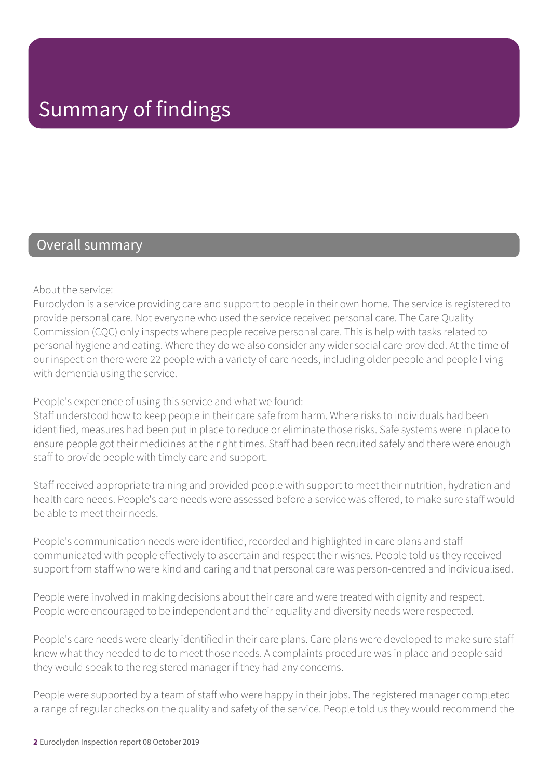#### Overall summary

About the service:

Euroclydon is a service providing care and support to people in their own home. The service is registered to provide personal care. Not everyone who used the service received personal care. The Care Quality Commission (CQC) only inspects where people receive personal care. This is help with tasks related to personal hygiene and eating. Where they do we also consider any wider social care provided. At the time of our inspection there were 22 people with a variety of care needs, including older people and people living with dementia using the service.

People's experience of using this service and what we found:

Staff understood how to keep people in their care safe from harm. Where risks to individuals had been identified, measures had been put in place to reduce or eliminate those risks. Safe systems were in place to ensure people got their medicines at the right times. Staff had been recruited safely and there were enough staff to provide people with timely care and support.

Staff received appropriate training and provided people with support to meet their nutrition, hydration and health care needs. People's care needs were assessed before a service was offered, to make sure staff would be able to meet their needs.

People's communication needs were identified, recorded and highlighted in care plans and staff communicated with people effectively to ascertain and respect their wishes. People told us they received support from staff who were kind and caring and that personal care was person-centred and individualised.

People were involved in making decisions about their care and were treated with dignity and respect. People were encouraged to be independent and their equality and diversity needs were respected.

People's care needs were clearly identified in their care plans. Care plans were developed to make sure staff knew what they needed to do to meet those needs. A complaints procedure was in place and people said they would speak to the registered manager if they had any concerns.

People were supported by a team of staff who were happy in their jobs. The registered manager completed a range of regular checks on the quality and safety of the service. People told us they would recommend the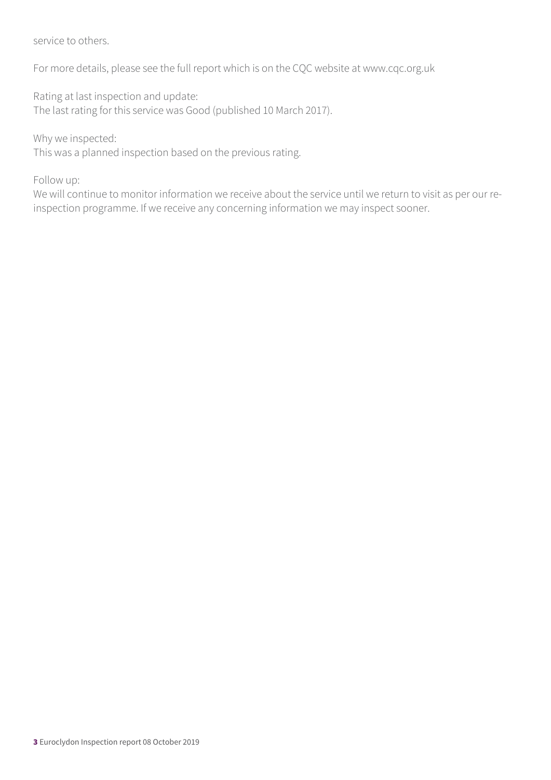service to others.

For more details, please see the full report which is on the CQC website at www.cqc.org.uk

Rating at last inspection and update: The last rating for this service was Good (published 10 March 2017).

Why we inspected:

This was a planned inspection based on the previous rating.

Follow up:

We will continue to monitor information we receive about the service until we return to visit as per our reinspection programme. If we receive any concerning information we may inspect sooner.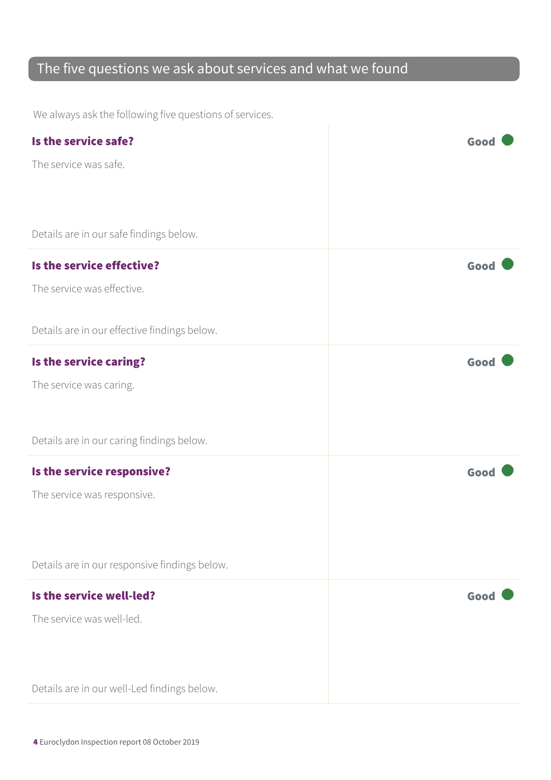## The five questions we ask about services and what we found

We always ask the following five questions of services.

| Is the service safe?                          | Goo  |
|-----------------------------------------------|------|
| The service was safe.                         |      |
|                                               |      |
|                                               |      |
| Details are in our safe findings below.       |      |
| Is the service effective?                     | Good |
| The service was effective.                    |      |
|                                               |      |
| Details are in our effective findings below.  |      |
| Is the service caring?                        | Good |
| The service was caring.                       |      |
|                                               |      |
| Details are in our caring findings below.     |      |
| Is the service responsive?                    | Good |
| The service was responsive.                   |      |
|                                               |      |
|                                               |      |
| Details are in our responsive findings below. |      |
| Is the service well-led?                      | Good |
| The service was well-led.                     |      |
|                                               |      |
|                                               |      |
| Details are in our well-Led findings below.   |      |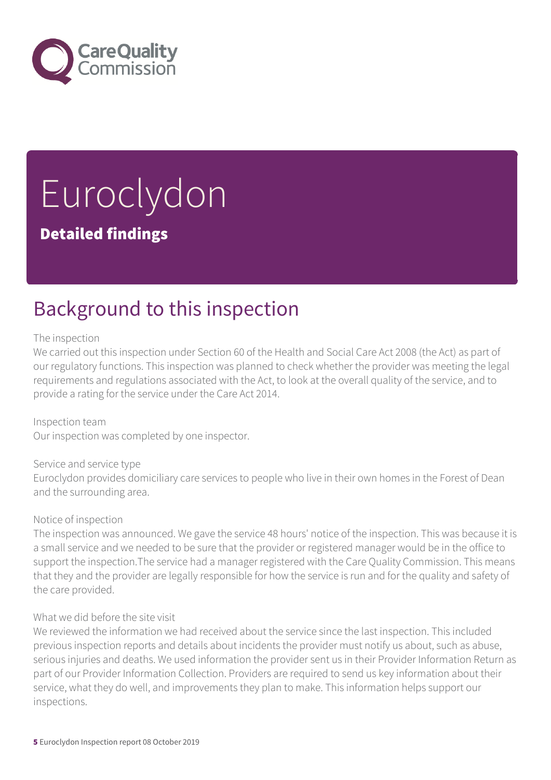

# Euroclydon

### Detailed findings

## Background to this inspection

#### The inspection

We carried out this inspection under Section 60 of the Health and Social Care Act 2008 (the Act) as part of our regulatory functions. This inspection was planned to check whether the provider was meeting the legal requirements and regulations associated with the Act, to look at the overall quality of the service, and to provide a rating for the service under the Care Act 2014.

Inspection team Our inspection was completed by one inspector.

#### Service and service type

Euroclydon provides domiciliary care services to people who live in their own homes in the Forest of Dean and the surrounding area.

#### Notice of inspection

The inspection was announced. We gave the service 48 hours' notice of the inspection. This was because it is a small service and we needed to be sure that the provider or registered manager would be in the office to support the inspection.The service had a manager registered with the Care Quality Commission. This means that they and the provider are legally responsible for how the service is run and for the quality and safety of the care provided.

#### What we did before the site visit

We reviewed the information we had received about the service since the last inspection. This included previous inspection reports and details about incidents the provider must notify us about, such as abuse, serious injuries and deaths. We used information the provider sent us in their Provider Information Return as part of our Provider Information Collection. Providers are required to send us key information about their service, what they do well, and improvements they plan to make. This information helps support our inspections.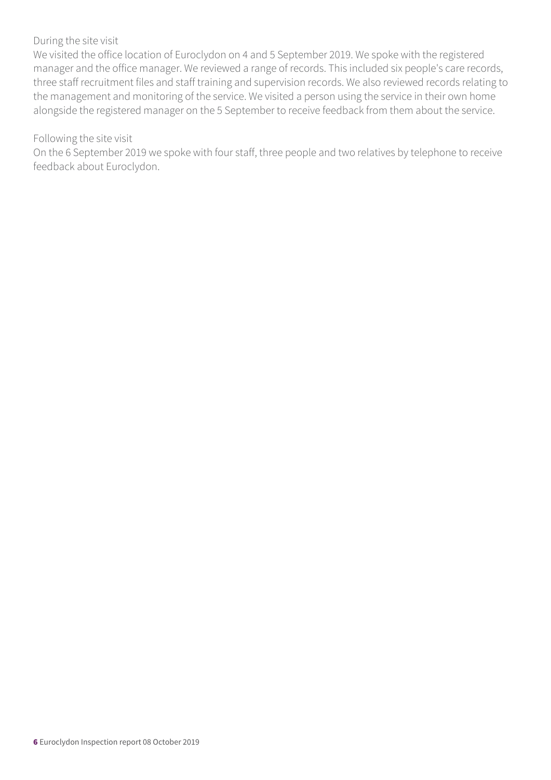#### During the site visit

We visited the office location of Euroclydon on 4 and 5 September 2019. We spoke with the registered manager and the office manager. We reviewed a range of records. This included six people's care records, three staff recruitment files and staff training and supervision records. We also reviewed records relating to the management and monitoring of the service. We visited a person using the service in their own home alongside the registered manager on the 5 September to receive feedback from them about the service.

#### Following the site visit

On the 6 September 2019 we spoke with four staff, three people and two relatives by telephone to receive feedback about Euroclydon.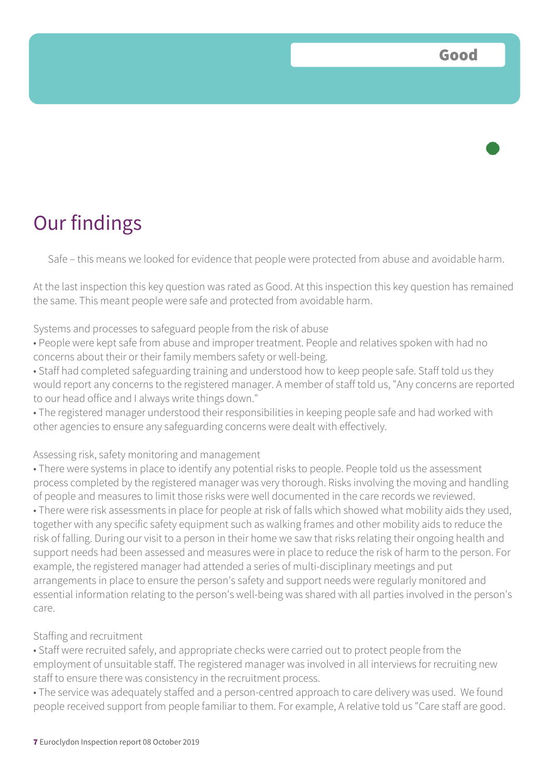

Safe – this means we looked for evidence that people were protected from abuse and avoidable harm.

At the last inspection this key question was rated as Good. At this inspection this key question has remained the same. This meant people were safe and protected from avoidable harm.

#### Systems and processes to safeguard people from the risk of abuse

• People were kept safe from abuse and improper treatment. People and relatives spoken with had no concerns about their or their family members safety or well-being.

• Staff had completed safeguarding training and understood how to keep people safe. Staff told us they would report any concerns to the registered manager. A member of staff told us, "Any concerns are reported to our head office and I always write things down."

• The registered manager understood their responsibilities in keeping people safe and had worked with other agencies to ensure any safeguarding concerns were dealt with effectively.

#### Assessing risk, safety monitoring and management

• There were systems in place to identify any potential risks to people. People told us the assessment process completed by the registered manager was very thorough. Risks involving the moving and handling of people and measures to limit those risks were well documented in the care records we reviewed.

• There were risk assessments in place for people at risk of falls which showed what mobility aids they used, together with any specific safety equipment such as walking frames and other mobility aids to reduce the risk of falling. During our visit to a person in their home we saw that risks relating their ongoing health and support needs had been assessed and measures were in place to reduce the risk of harm to the person. For example, the registered manager had attended a series of multi-disciplinary meetings and put arrangements in place to ensure the person's safety and support needs were regularly monitored and essential information relating to the person's well-being was shared with all parties involved in the person's care.

#### Staffing and recruitment

• Staff were recruited safely, and appropriate checks were carried out to protect people from the employment of unsuitable staff. The registered manager was involved in all interviews for recruiting new staff to ensure there was consistency in the recruitment process.

• The service was adequately staffed and a person-centred approach to care delivery was used. We found people received support from people familiar to them. For example, A relative told us "Care staff are good.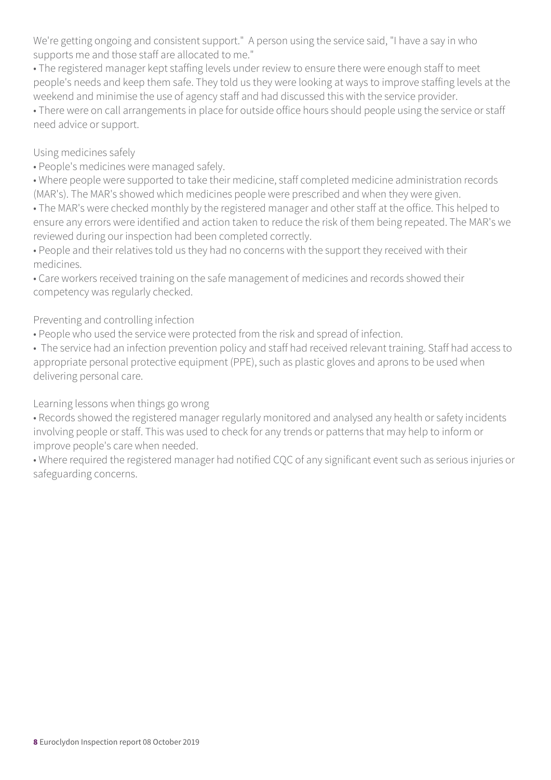We're getting ongoing and consistent support." A person using the service said, "I have a say in who supports me and those staff are allocated to me."

• The registered manager kept staffing levels under review to ensure there were enough staff to meet people's needs and keep them safe. They told us they were looking at ways to improve staffing levels at the weekend and minimise the use of agency staff and had discussed this with the service provider.

• There were on call arrangements in place for outside office hours should people using the service or staff need advice or support.

#### Using medicines safely

- People's medicines were managed safely.
- Where people were supported to take their medicine, staff completed medicine administration records (MAR's). The MAR's showed which medicines people were prescribed and when they were given.
- The MAR's were checked monthly by the registered manager and other staff at the office. This helped to ensure any errors were identified and action taken to reduce the risk of them being repeated. The MAR's we reviewed during our inspection had been completed correctly.
- People and their relatives told us they had no concerns with the support they received with their medicines.
- Care workers received training on the safe management of medicines and records showed their competency was regularly checked.

#### Preventing and controlling infection

• People who used the service were protected from the risk and spread of infection.

• The service had an infection prevention policy and staff had received relevant training. Staff had access to appropriate personal protective equipment (PPE), such as plastic gloves and aprons to be used when delivering personal care.

Learning lessons when things go wrong

• Records showed the registered manager regularly monitored and analysed any health or safety incidents involving people or staff. This was used to check for any trends or patterns that may help to inform or improve people's care when needed.

• Where required the registered manager had notified CQC of any significant event such as serious injuries or safeguarding concerns.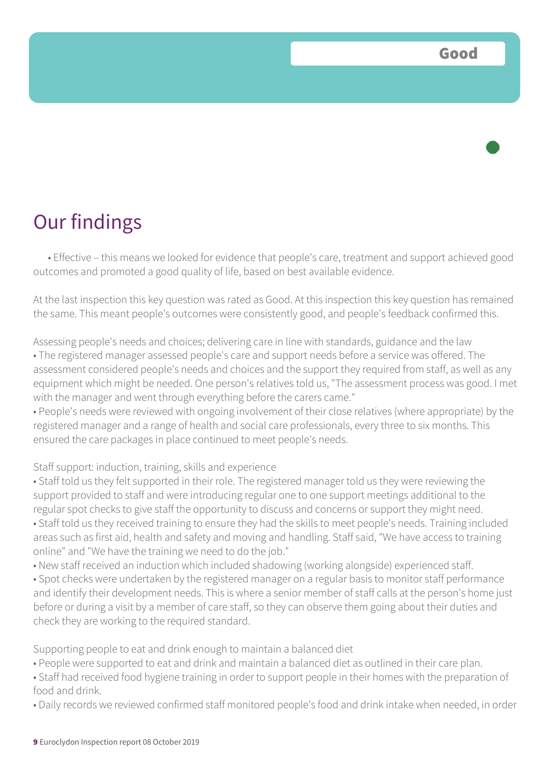## Our findings

• Effective – this means we looked for evidence that people's care, treatment and support achieved good outcomes and promoted a good quality of life, based on best available evidence.

At the last inspection this key question was rated as Good. At this inspection this key question has remained the same. This meant people's outcomes were consistently good, and people's feedback confirmed this.

Assessing people's needs and choices; delivering care in line with standards, guidance and the law • The registered manager assessed people's care and support needs before a service was offered. The assessment considered people's needs and choices and the support they required from staff, as well as any equipment which might be needed. One person's relatives told us, "The assessment process was good. I met with the manager and went through everything before the carers came."

• People's needs were reviewed with ongoing involvement of their close relatives (where appropriate) by the registered manager and a range of health and social care professionals, every three to six months. This ensured the care packages in place continued to meet people's needs.

#### Staff support: induction, training, skills and experience

• Staff told us they felt supported in their role. The registered manager told us they were reviewing the support provided to staff and were introducing regular one to one support meetings additional to the regular spot checks to give staff the opportunity to discuss and concerns or support they might need. • Staff told us they received training to ensure they had the skills to meet people's needs. Training included areas such as first aid, health and safety and moving and handling. Staff said, "We have access to training online" and "We have the training we need to do the job."

• New staff received an induction which included shadowing (working alongside) experienced staff.

• Spot checks were undertaken by the registered manager on a regular basis to monitor staff performance and identify their development needs. This is where a senior member of staff calls at the person's home just before or during a visit by a member of care staff, so they can observe them going about their duties and check they are working to the required standard.

Supporting people to eat and drink enough to maintain a balanced diet

- People were supported to eat and drink and maintain a balanced diet as outlined in their care plan.
- Staff had received food hygiene training in order to support people in their homes with the preparation of food and drink.
- Daily records we reviewed confirmed staff monitored people's food and drink intake when needed, in order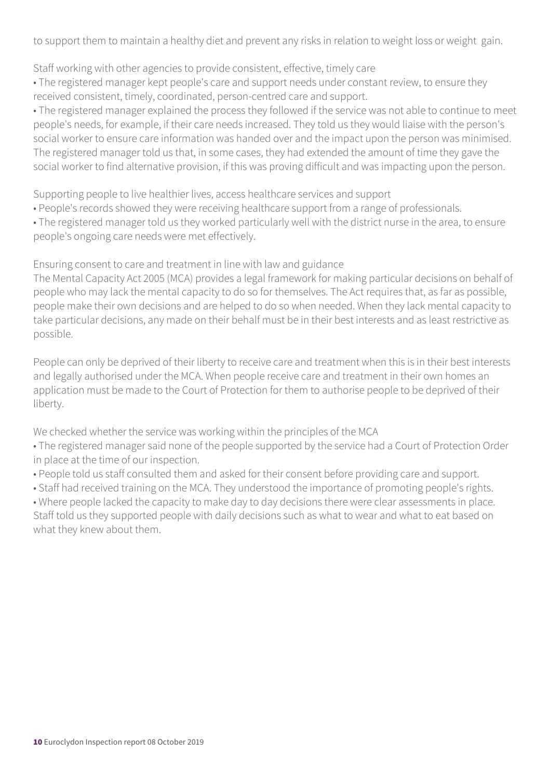to support them to maintain a healthy diet and prevent any risks in relation to weight loss or weight gain.

Staff working with other agencies to provide consistent, effective, timely care

• The registered manager kept people's care and support needs under constant review, to ensure they received consistent, timely, coordinated, person-centred care and support.

• The registered manager explained the process they followed if the service was not able to continue to meet people's needs, for example, if their care needs increased. They told us they would liaise with the person's social worker to ensure care information was handed over and the impact upon the person was minimised. The registered manager told us that, in some cases, they had extended the amount of time they gave the social worker to find alternative provision, if this was proving difficult and was impacting upon the person.

Supporting people to live healthier lives, access healthcare services and support

- People's records showed they were receiving healthcare support from a range of professionals.
- The registered manager told us they worked particularly well with the district nurse in the area, to ensure people's ongoing care needs were met effectively.

Ensuring consent to care and treatment in line with law and guidance

The Mental Capacity Act 2005 (MCA) provides a legal framework for making particular decisions on behalf of people who may lack the mental capacity to do so for themselves. The Act requires that, as far as possible, people make their own decisions and are helped to do so when needed. When they lack mental capacity to take particular decisions, any made on their behalf must be in their best interests and as least restrictive as possible.

People can only be deprived of their liberty to receive care and treatment when this is in their best interests and legally authorised under the MCA. When people receive care and treatment in their own homes an application must be made to the Court of Protection for them to authorise people to be deprived of their liberty.

We checked whether the service was working within the principles of the MCA

- The registered manager said none of the people supported by the service had a Court of Protection Order in place at the time of our inspection.
- People told us staff consulted them and asked for their consent before providing care and support.
- Staff had received training on the MCA. They understood the importance of promoting people's rights.

• Where people lacked the capacity to make day to day decisions there were clear assessments in place. Staff told us they supported people with daily decisions such as what to wear and what to eat based on what they knew about them.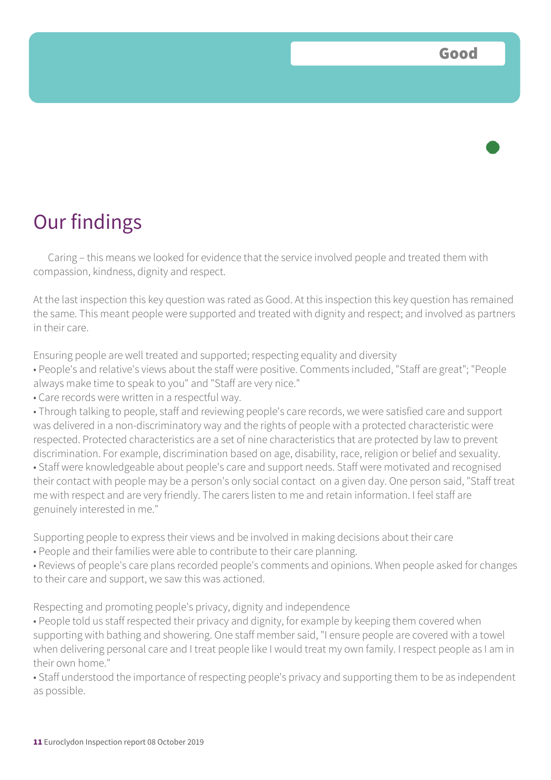## Our findings

Caring – this means we looked for evidence that the service involved people and treated them with compassion, kindness, dignity and respect.

At the last inspection this key question was rated as Good. At this inspection this key question has remained the same. This meant people were supported and treated with dignity and respect; and involved as partners in their care.

Ensuring people are well treated and supported; respecting equality and diversity

• People's and relative's views about the staff were positive. Comments included, "Staff are great"; "People always make time to speak to you" and "Staff are very nice."

• Care records were written in a respectful way.

• Through talking to people, staff and reviewing people's care records, we were satisfied care and support was delivered in a non-discriminatory way and the rights of people with a protected characteristic were respected. Protected characteristics are a set of nine characteristics that are protected by law to prevent discrimination. For example, discrimination based on age, disability, race, religion or belief and sexuality. • Staff were knowledgeable about people's care and support needs. Staff were motivated and recognised their contact with people may be a person's only social contact on a given day. One person said, "Staff treat me with respect and are very friendly. The carers listen to me and retain information. I feel staff are genuinely interested in me."

Supporting people to express their views and be involved in making decisions about their care

• People and their families were able to contribute to their care planning.

• Reviews of people's care plans recorded people's comments and opinions. When people asked for changes to their care and support, we saw this was actioned.

Respecting and promoting people's privacy, dignity and independence

• People told us staff respected their privacy and dignity, for example by keeping them covered when supporting with bathing and showering. One staff member said, "I ensure people are covered with a towel when delivering personal care and I treat people like I would treat my own family. I respect people as I am in their own home."

• Staff understood the importance of respecting people's privacy and supporting them to be as independent as possible.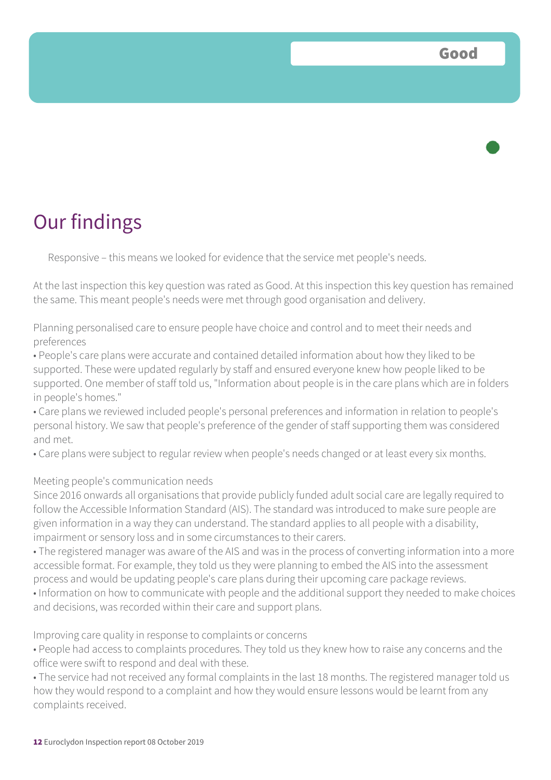## Our findings

Responsive – this means we looked for evidence that the service met people's needs.

At the last inspection this key question was rated as Good. At this inspection this key question has remained the same. This meant people's needs were met through good organisation and delivery.

Planning personalised care to ensure people have choice and control and to meet their needs and preferences

• People's care plans were accurate and contained detailed information about how they liked to be supported. These were updated regularly by staff and ensured everyone knew how people liked to be supported. One member of staff told us, "Information about people is in the care plans which are in folders in people's homes."

• Care plans we reviewed included people's personal preferences and information in relation to people's personal history. We saw that people's preference of the gender of staff supporting them was considered and met.

• Care plans were subject to regular review when people's needs changed or at least every six months.

#### Meeting people's communication needs

Since 2016 onwards all organisations that provide publicly funded adult social care are legally required to follow the Accessible Information Standard (AIS). The standard was introduced to make sure people are given information in a way they can understand. The standard applies to all people with a disability, impairment or sensory loss and in some circumstances to their carers.

• The registered manager was aware of the AIS and was in the process of converting information into a more accessible format. For example, they told us they were planning to embed the AIS into the assessment process and would be updating people's care plans during their upcoming care package reviews.

• Information on how to communicate with people and the additional support they needed to make choices and decisions, was recorded within their care and support plans.

Improving care quality in response to complaints or concerns

• People had access to complaints procedures. They told us they knew how to raise any concerns and the office were swift to respond and deal with these.

• The service had not received any formal complaints in the last 18 months. The registered manager told us how they would respond to a complaint and how they would ensure lessons would be learnt from any complaints received.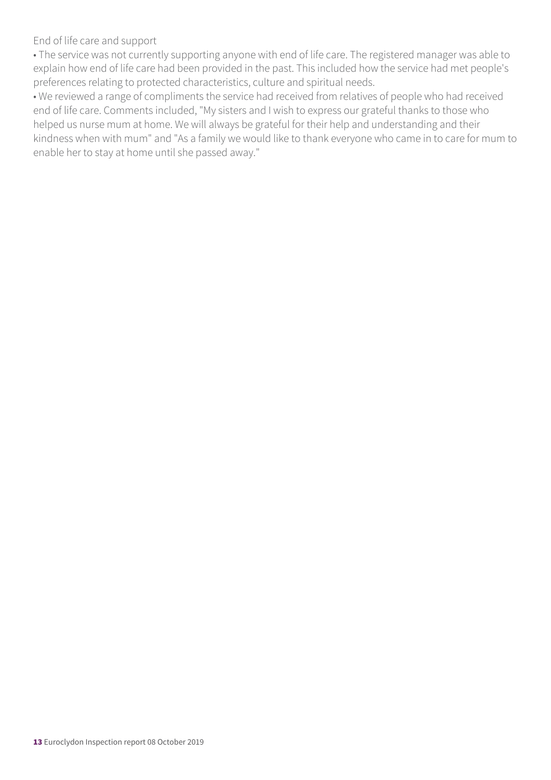End of life care and support

• The service was not currently supporting anyone with end of life care. The registered manager was able to explain how end of life care had been provided in the past. This included how the service had met people's preferences relating to protected characteristics, culture and spiritual needs.

• We reviewed a range of compliments the service had received from relatives of people who had received end of life care. Comments included, "My sisters and I wish to express our grateful thanks to those who helped us nurse mum at home. We will always be grateful for their help and understanding and their kindness when with mum" and "As a family we would like to thank everyone who came in to care for mum to enable her to stay at home until she passed away."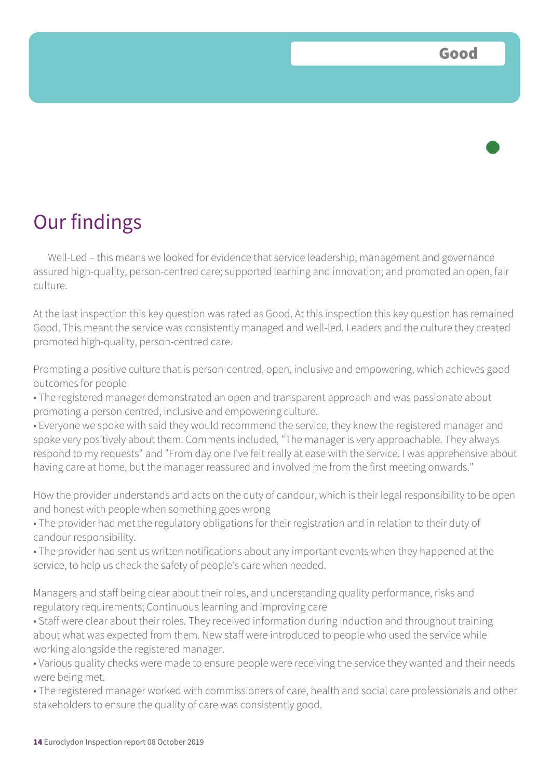

Well-Led – this means we looked for evidence that service leadership, management and governance assured high-quality, person-centred care; supported learning and innovation; and promoted an open, fair culture.

At the last inspection this key question was rated as Good. At this inspection this key question has remained Good. This meant the service was consistently managed and well-led. Leaders and the culture they created promoted high-quality, person-centred care.

Promoting a positive culture that is person-centred, open, inclusive and empowering, which achieves good outcomes for people

• The registered manager demonstrated an open and transparent approach and was passionate about promoting a person centred, inclusive and empowering culture.

• Everyone we spoke with said they would recommend the service, they knew the registered manager and spoke very positively about them. Comments included, "The manager is very approachable. They always respond to my requests" and "From day one I've felt really at ease with the service. I was apprehensive about having care at home, but the manager reassured and involved me from the first meeting onwards."

How the provider understands and acts on the duty of candour, which is their legal responsibility to be open and honest with people when something goes wrong

• The provider had met the regulatory obligations for their registration and in relation to their duty of candour responsibility.

• The provider had sent us written notifications about any important events when they happened at the service, to help us check the safety of people's care when needed.

Managers and staff being clear about their roles, and understanding quality performance, risks and regulatory requirements; Continuous learning and improving care

• Staff were clear about their roles. They received information during induction and throughout training about what was expected from them. New staff were introduced to people who used the service while working alongside the registered manager.

• Various quality checks were made to ensure people were receiving the service they wanted and their needs were being met.

• The registered manager worked with commissioners of care, health and social care professionals and other stakeholders to ensure the quality of care was consistently good.